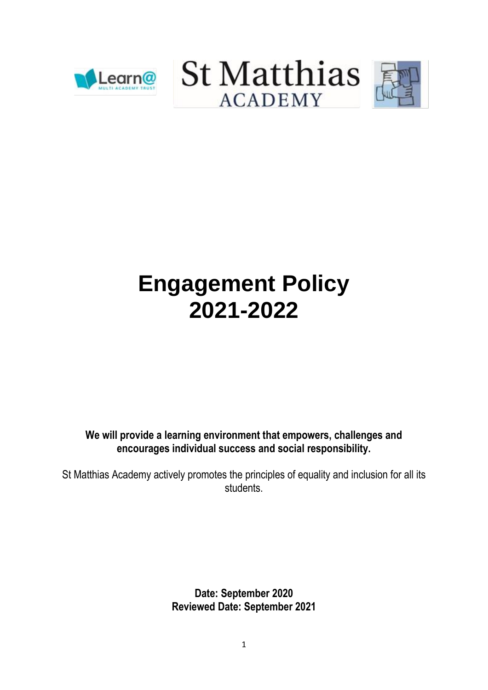





# **Engagement Policy 2021-2022**

**We will provide a learning environment that empowers, challenges and encourages individual success and social responsibility.**

St Matthias Academy actively promotes the principles of equality and inclusion for all its students.

> **Date: September 2020 Reviewed Date: September 2021**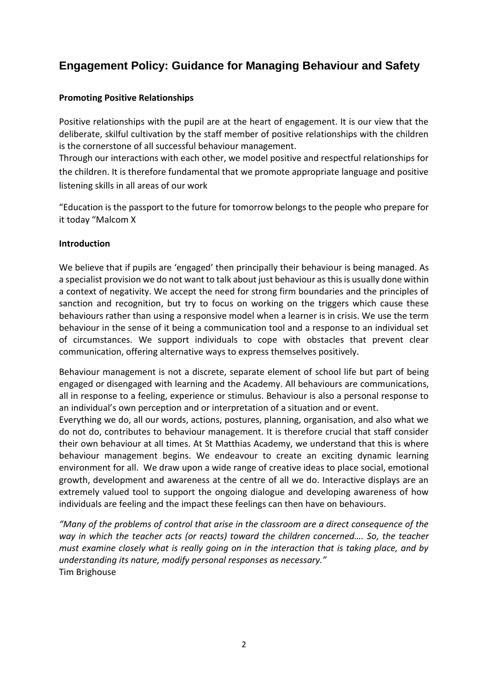# **Engagement Policy: Guidance for Managing Behaviour and Safety**

#### **Promoting Positive Relationships**

Positive relationships with the pupil are at the heart of engagement. It is our view that the deliberate, skilful cultivation by the staff member of positive relationships with the children is the cornerstone of all successful behaviour management.

Through our interactions with each other, we model positive and respectful relationships for the children. It is therefore fundamental that we promote appropriate language and positive listening skills in all areas of our work

"Education is the passport to the future for tomorrow belongs to the people who prepare for it today "Malcom X

#### **Introduction**

We believe that if pupils are 'engaged' then principally their behaviour is being managed. As a specialist provision we do not want to talk about just behaviour as this is usually done within a context of negativity. We accept the need for strong firm boundaries and the principles of sanction and recognition, but try to focus on working on the triggers which cause these behaviours rather than using a responsive model when a learner is in crisis. We use the term behaviour in the sense of it being a communication tool and a response to an individual set of circumstances. We support individuals to cope with obstacles that prevent clear communication, offering alternative ways to express themselves positively.

Behaviour management is not a discrete, separate element of school life but part of being engaged or disengaged with learning and the Academy. All behaviours are communications, all in response to a feeling, experience or stimulus. Behaviour is also a personal response to an individual's own perception and or interpretation of a situation and or event.

Everything we do, all our words, actions, postures, planning, organisation, and also what we do not do, contributes to behaviour management. It is therefore crucial that staff consider their own behaviour at all times. At St Matthias Academy, we understand that this is where behaviour management begins. We endeavour to create an exciting dynamic learning environment for all. We draw upon a wide range of creative ideas to place social, emotional growth, development and awareness at the centre of all we do. Interactive displays are an extremely valued tool to support the ongoing dialogue and developing awareness of how individuals are feeling and the impact these feelings can then have on behaviours.

*"Many of the problems of control that arise in the classroom are a direct consequence of the way in which the teacher acts (or reacts) toward the children concerned…. So, the teacher must examine closely what is really going on in the interaction that is taking place, and by understanding its nature, modify personal responses as necessary."*  Tim Brighouse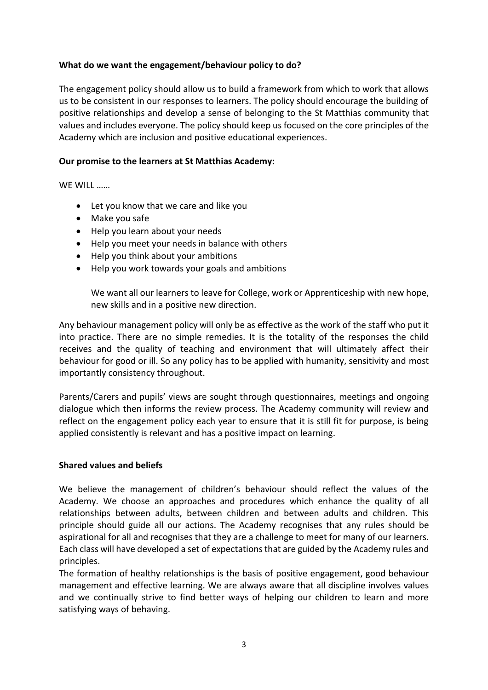#### **What do we want the engagement/behaviour policy to do?**

The engagement policy should allow us to build a framework from which to work that allows us to be consistent in our responses to learners. The policy should encourage the building of positive relationships and develop a sense of belonging to the St Matthias community that values and includes everyone. The policy should keep us focused on the core principles of the Academy which are inclusion and positive educational experiences.

#### **Our promise to the learners at St Matthias Academy:**

WE WILL ……

- Let you know that we care and like you
- Make you safe
- Help you learn about your needs
- Help you meet your needs in balance with others
- Help you think about your ambitions
- Help you work towards your goals and ambitions

We want all our learners to leave for College, work or Apprenticeship with new hope, new skills and in a positive new direction.

Any behaviour management policy will only be as effective as the work of the staff who put it into practice. There are no simple remedies. It is the totality of the responses the child receives and the quality of teaching and environment that will ultimately affect their behaviour for good or ill. So any policy has to be applied with humanity, sensitivity and most importantly consistency throughout.

Parents/Carers and pupils' views are sought through questionnaires, meetings and ongoing dialogue which then informs the review process. The Academy community will review and reflect on the engagement policy each year to ensure that it is still fit for purpose, is being applied consistently is relevant and has a positive impact on learning.

#### **Shared values and beliefs**

We believe the management of children's behaviour should reflect the values of the Academy. We choose an approaches and procedures which enhance the quality of all relationships between adults, between children and between adults and children. This principle should guide all our actions. The Academy recognises that any rules should be aspirational for all and recognises that they are a challenge to meet for many of our learners. Each class will have developed a set of expectations that are guided by the Academy rules and principles.

The formation of healthy relationships is the basis of positive engagement, good behaviour management and effective learning. We are always aware that all discipline involves values and we continually strive to find better ways of helping our children to learn and more satisfying ways of behaving.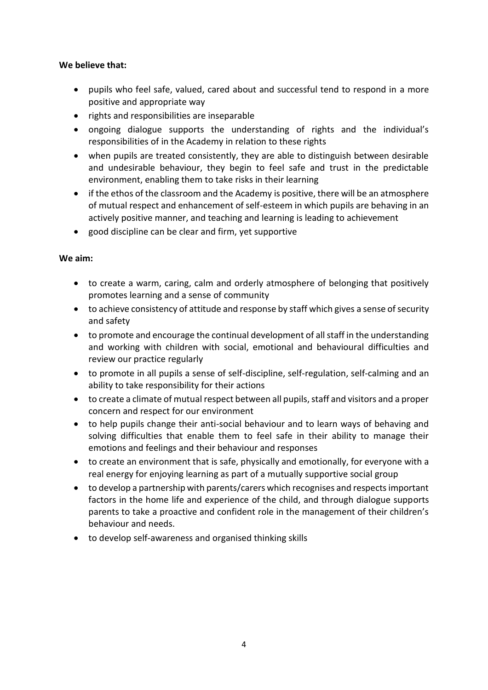#### **We believe that:**

- pupils who feel safe, valued, cared about and successful tend to respond in a more positive and appropriate way
- rights and responsibilities are inseparable
- ongoing dialogue supports the understanding of rights and the individual's responsibilities of in the Academy in relation to these rights
- when pupils are treated consistently, they are able to distinguish between desirable and undesirable behaviour, they begin to feel safe and trust in the predictable environment, enabling them to take risks in their learning
- if the ethos of the classroom and the Academy is positive, there will be an atmosphere of mutual respect and enhancement of self-esteem in which pupils are behaving in an actively positive manner, and teaching and learning is leading to achievement
- good discipline can be clear and firm, yet supportive

#### **We aim:**

- to create a warm, caring, calm and orderly atmosphere of belonging that positively promotes learning and a sense of community
- to achieve consistency of attitude and response by staff which gives a sense of security and safety
- to promote and encourage the continual development of all staff in the understanding and working with children with social, emotional and behavioural difficulties and review our practice regularly
- to promote in all pupils a sense of self-discipline, self-regulation, self-calming and an ability to take responsibility for their actions
- to create a climate of mutual respect between all pupils, staff and visitors and a proper concern and respect for our environment
- to help pupils change their anti-social behaviour and to learn ways of behaving and solving difficulties that enable them to feel safe in their ability to manage their emotions and feelings and their behaviour and responses
- to create an environment that is safe, physically and emotionally, for everyone with a real energy for enjoying learning as part of a mutually supportive social group
- to develop a partnership with parents/carers which recognises and respects important factors in the home life and experience of the child, and through dialogue supports parents to take a proactive and confident role in the management of their children's behaviour and needs.
- to develop self-awareness and organised thinking skills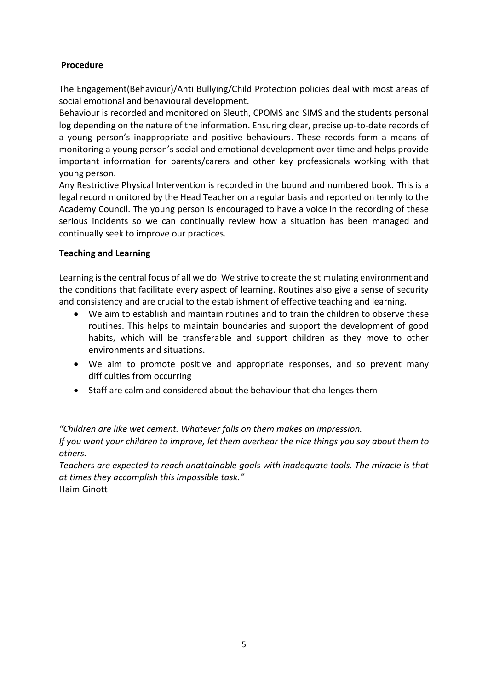## **Procedure**

The Engagement(Behaviour)/Anti Bullying/Child Protection policies deal with most areas of social emotional and behavioural development.

Behaviour is recorded and monitored on Sleuth, CPOMS and SIMS and the students personal log depending on the nature of the information. Ensuring clear, precise up-to-date records of a young person's inappropriate and positive behaviours. These records form a means of monitoring a young person's social and emotional development over time and helps provide important information for parents/carers and other key professionals working with that young person.

Any Restrictive Physical Intervention is recorded in the bound and numbered book. This is a legal record monitored by the Head Teacher on a regular basis and reported on termly to the Academy Council. The young person is encouraged to have a voice in the recording of these serious incidents so we can continually review how a situation has been managed and continually seek to improve our practices.

## **Teaching and Learning**

Learning is the central focus of all we do. We strive to create the stimulating environment and the conditions that facilitate every aspect of learning. Routines also give a sense of security and consistency and are crucial to the establishment of effective teaching and learning.

- We aim to establish and maintain routines and to train the children to observe these routines. This helps to maintain boundaries and support the development of good habits, which will be transferable and support children as they move to other environments and situations.
- We aim to promote positive and appropriate responses, and so prevent many difficulties from occurring
- Staff are calm and considered about the behaviour that challenges them

*"Children are like wet cement. Whatever falls on them makes an impression. If you want your children to improve, let them overhear the nice things you say about them to others.*

*Teachers are expected to reach unattainable goals with inadequate tools. The miracle is that at times they accomplish this impossible task."* Haim Ginott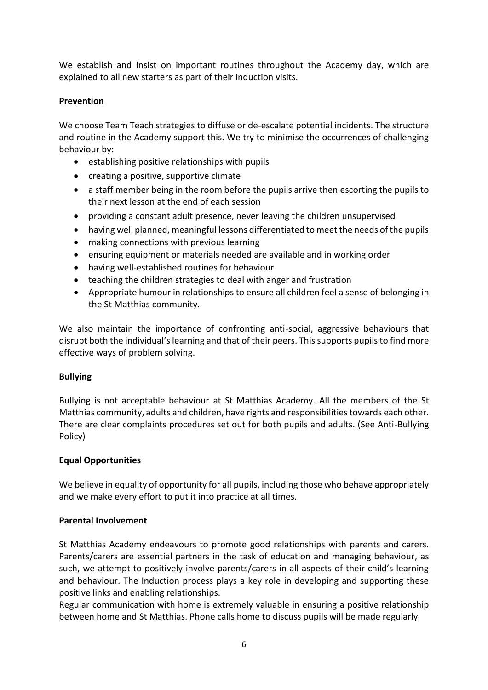We establish and insist on important routines throughout the Academy day, which are explained to all new starters as part of their induction visits.

## **Prevention**

We choose Team Teach strategies to diffuse or de-escalate potential incidents. The structure and routine in the Academy support this. We try to minimise the occurrences of challenging behaviour by:

- establishing positive relationships with pupils
- creating a positive, supportive climate
- a staff member being in the room before the pupils arrive then escorting the pupils to their next lesson at the end of each session
- providing a constant adult presence, never leaving the children unsupervised
- having well planned, meaningful lessons differentiated to meet the needs of the pupils
- making connections with previous learning
- ensuring equipment or materials needed are available and in working order
- having well-established routines for behaviour
- teaching the children strategies to deal with anger and frustration
- Appropriate humour in relationships to ensure all children feel a sense of belonging in the St Matthias community.

We also maintain the importance of confronting anti-social, aggressive behaviours that disrupt both the individual's learning and that of their peers. This supports pupils to find more effective ways of problem solving.

## **Bullying**

Bullying is not acceptable behaviour at St Matthias Academy. All the members of the St Matthias community, adults and children, have rights and responsibilities towards each other. There are clear complaints procedures set out for both pupils and adults. (See Anti-Bullying Policy)

## **Equal Opportunities**

We believe in equality of opportunity for all pupils, including those who behave appropriately and we make every effort to put it into practice at all times.

#### **Parental Involvement**

St Matthias Academy endeavours to promote good relationships with parents and carers. Parents/carers are essential partners in the task of education and managing behaviour, as such, we attempt to positively involve parents/carers in all aspects of their child's learning and behaviour. The Induction process plays a key role in developing and supporting these positive links and enabling relationships.

Regular communication with home is extremely valuable in ensuring a positive relationship between home and St Matthias. Phone calls home to discuss pupils will be made regularly.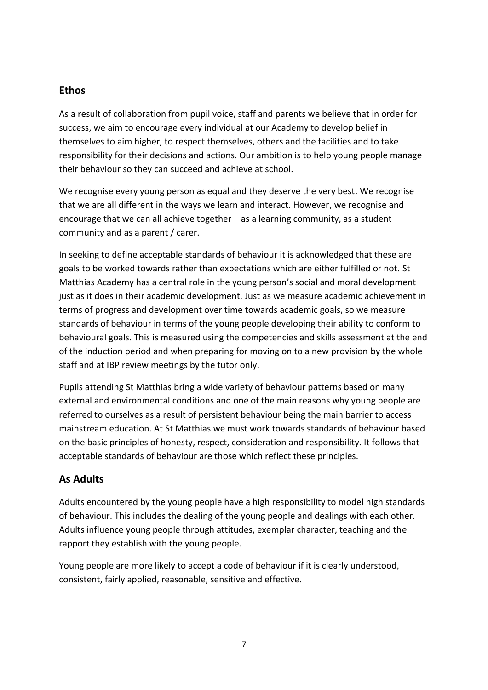## **Ethos**

As a result of collaboration from pupil voice, staff and parents we believe that in order for success, we aim to encourage every individual at our Academy to develop belief in themselves to aim higher, to respect themselves, others and the facilities and to take responsibility for their decisions and actions. Our ambition is to help young people manage their behaviour so they can succeed and achieve at school.

We recognise every young person as equal and they deserve the very best. We recognise that we are all different in the ways we learn and interact. However, we recognise and encourage that we can all achieve together – as a learning community, as a student community and as a parent / carer.

In seeking to define acceptable standards of behaviour it is acknowledged that these are goals to be worked towards rather than expectations which are either fulfilled or not. St Matthias Academy has a central role in the young person's social and moral development just as it does in their academic development. Just as we measure academic achievement in terms of progress and development over time towards academic goals, so we measure standards of behaviour in terms of the young people developing their ability to conform to behavioural goals. This is measured using the competencies and skills assessment at the end of the induction period and when preparing for moving on to a new provision by the whole staff and at IBP review meetings by the tutor only.

Pupils attending St Matthias bring a wide variety of behaviour patterns based on many external and environmental conditions and one of the main reasons why young people are referred to ourselves as a result of persistent behaviour being the main barrier to access mainstream education. At St Matthias we must work towards standards of behaviour based on the basic principles of honesty, respect, consideration and responsibility. It follows that acceptable standards of behaviour are those which reflect these principles.

## **As Adults**

Adults encountered by the young people have a high responsibility to model high standards of behaviour. This includes the dealing of the young people and dealings with each other. Adults influence young people through attitudes, exemplar character, teaching and the rapport they establish with the young people.

Young people are more likely to accept a code of behaviour if it is clearly understood, consistent, fairly applied, reasonable, sensitive and effective.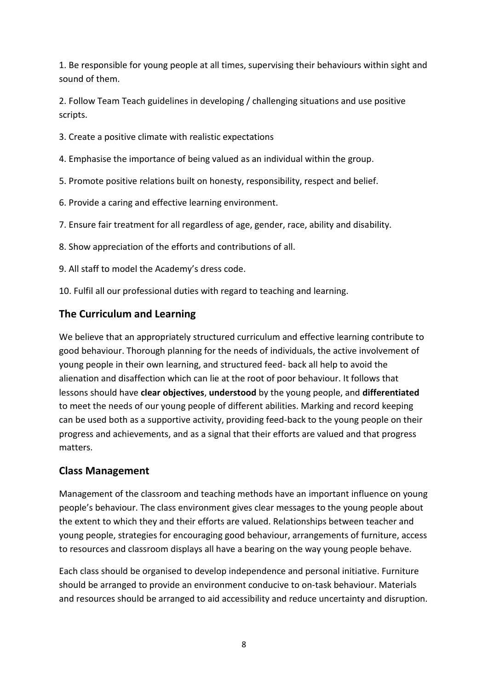1. Be responsible for young people at all times, supervising their behaviours within sight and sound of them.

2. Follow Team Teach guidelines in developing / challenging situations and use positive scripts.

- 3. Create a positive climate with realistic expectations
- 4. Emphasise the importance of being valued as an individual within the group.
- 5. Promote positive relations built on honesty, responsibility, respect and belief.
- 6. Provide a caring and effective learning environment.
- 7. Ensure fair treatment for all regardless of age, gender, race, ability and disability.
- 8. Show appreciation of the efforts and contributions of all.
- 9. All staff to model the Academy's dress code.
- 10. Fulfil all our professional duties with regard to teaching and learning.

## **The Curriculum and Learning**

We believe that an appropriately structured curriculum and effective learning contribute to good behaviour. Thorough planning for the needs of individuals, the active involvement of young people in their own learning, and structured feed- back all help to avoid the alienation and disaffection which can lie at the root of poor behaviour. It follows that lessons should have **clear objectives**, **understood** by the young people, and **differentiated** to meet the needs of our young people of different abilities. Marking and record keeping can be used both as a supportive activity, providing feed-back to the young people on their progress and achievements, and as a signal that their efforts are valued and that progress matters.

## **Class Management**

Management of the classroom and teaching methods have an important influence on young people's behaviour. The class environment gives clear messages to the young people about the extent to which they and their efforts are valued. Relationships between teacher and young people, strategies for encouraging good behaviour, arrangements of furniture, access to resources and classroom displays all have a bearing on the way young people behave.

Each class should be organised to develop independence and personal initiative. Furniture should be arranged to provide an environment conducive to on-task behaviour. Materials and resources should be arranged to aid accessibility and reduce uncertainty and disruption.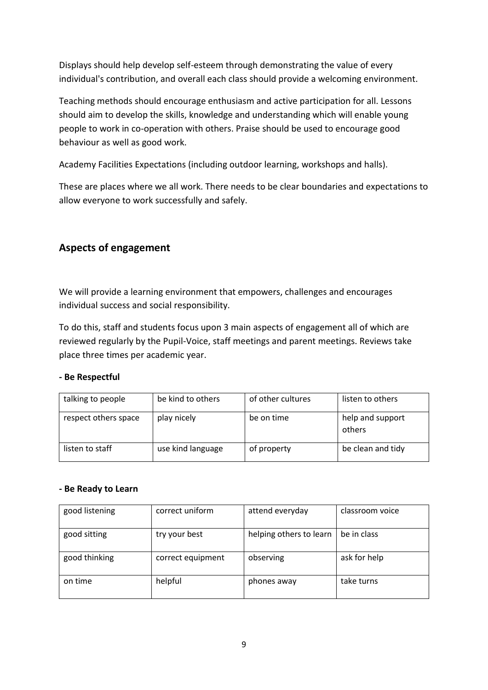Displays should help develop self-esteem through demonstrating the value of every individual's contribution, and overall each class should provide a welcoming environment.

Teaching methods should encourage enthusiasm and active participation for all. Lessons should aim to develop the skills, knowledge and understanding which will enable young people to work in co-operation with others. Praise should be used to encourage good behaviour as well as good work.

Academy Facilities Expectations (including outdoor learning, workshops and halls).

These are places where we all work. There needs to be clear boundaries and expectations to allow everyone to work successfully and safely.

## **Aspects of engagement**

We will provide a learning environment that empowers, challenges and encourages individual success and social responsibility.

To do this, staff and students focus upon 3 main aspects of engagement all of which are reviewed regularly by the Pupil-Voice, staff meetings and parent meetings. Reviews take place three times per academic year.

#### **- Be Respectful**

| talking to people    | be kind to others | of other cultures | listen to others           |
|----------------------|-------------------|-------------------|----------------------------|
| respect others space | play nicely       | be on time        | help and support<br>others |
| listen to staff      | use kind language | of property       | be clean and tidy          |

#### **- Be Ready to Learn**

| good listening | correct uniform   | attend everyday         | classroom voice |
|----------------|-------------------|-------------------------|-----------------|
| good sitting   | try your best     | helping others to learn | be in class     |
| good thinking  | correct equipment | observing               | ask for help    |
| on time        | helpful           | phones away             | take turns      |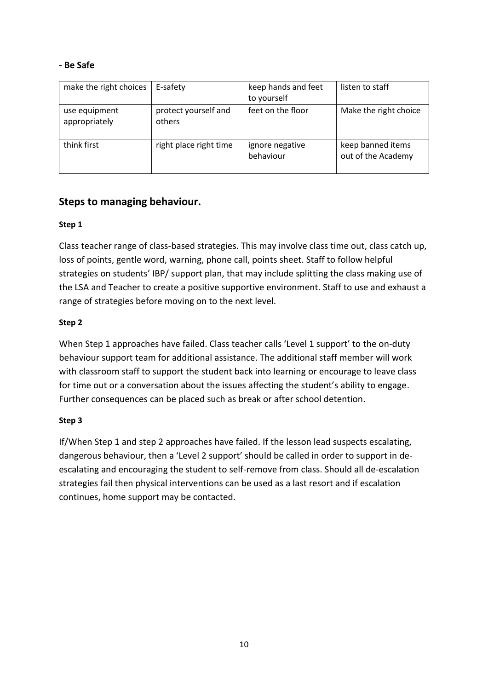#### **- Be Safe**

| make the right choices         | E-safety                       | keep hands and feet<br>to yourself | listen to staff                         |
|--------------------------------|--------------------------------|------------------------------------|-----------------------------------------|
| use equipment<br>appropriately | protect yourself and<br>others | feet on the floor                  | Make the right choice                   |
| think first                    | right place right time         | ignore negative<br>behaviour       | keep banned items<br>out of the Academy |

## **Steps to managing behaviour.**

## **Step 1**

Class teacher range of class-based strategies. This may involve class time out, class catch up, loss of points, gentle word, warning, phone call, points sheet. Staff to follow helpful strategies on students' IBP/ support plan, that may include splitting the class making use of the LSA and Teacher to create a positive supportive environment. Staff to use and exhaust a range of strategies before moving on to the next level.

#### **Step 2**

When Step 1 approaches have failed. Class teacher calls 'Level 1 support' to the on-duty behaviour support team for additional assistance. The additional staff member will work with classroom staff to support the student back into learning or encourage to leave class for time out or a conversation about the issues affecting the student's ability to engage. Further consequences can be placed such as break or after school detention.

#### **Step 3**

If/When Step 1 and step 2 approaches have failed. If the lesson lead suspects escalating, dangerous behaviour, then a 'Level 2 support' should be called in order to support in deescalating and encouraging the student to self-remove from class. Should all de-escalation strategies fail then physical interventions can be used as a last resort and if escalation continues, home support may be contacted.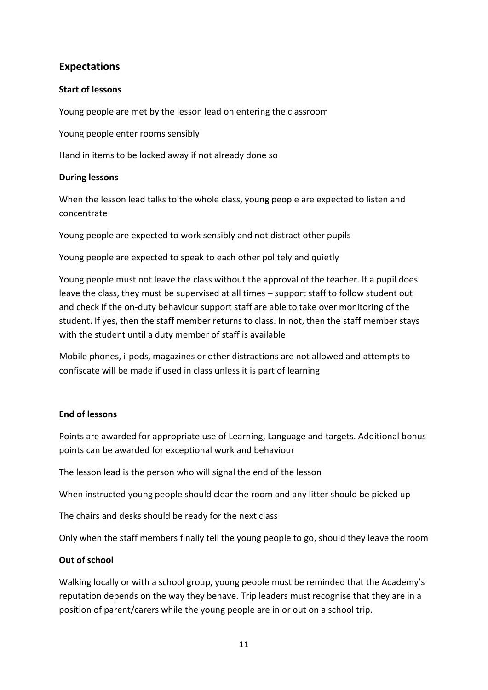## **Expectations**

## **Start of lessons**

Young people are met by the lesson lead on entering the classroom

Young people enter rooms sensibly

Hand in items to be locked away if not already done so

## **During lessons**

When the lesson lead talks to the whole class, young people are expected to listen and concentrate

Young people are expected to work sensibly and not distract other pupils

Young people are expected to speak to each other politely and quietly

Young people must not leave the class without the approval of the teacher. If a pupil does leave the class, they must be supervised at all times – support staff to follow student out and check if the on-duty behaviour support staff are able to take over monitoring of the student. If yes, then the staff member returns to class. In not, then the staff member stays with the student until a duty member of staff is available

Mobile phones, i-pods, magazines or other distractions are not allowed and attempts to confiscate will be made if used in class unless it is part of learning

## **End of lessons**

Points are awarded for appropriate use of Learning, Language and targets. Additional bonus points can be awarded for exceptional work and behaviour

The lesson lead is the person who will signal the end of the lesson

When instructed young people should clear the room and any litter should be picked up

The chairs and desks should be ready for the next class

Only when the staff members finally tell the young people to go, should they leave the room

## **Out of school**

Walking locally or with a school group, young people must be reminded that the Academy's reputation depends on the way they behave. Trip leaders must recognise that they are in a position of parent/carers while the young people are in or out on a school trip.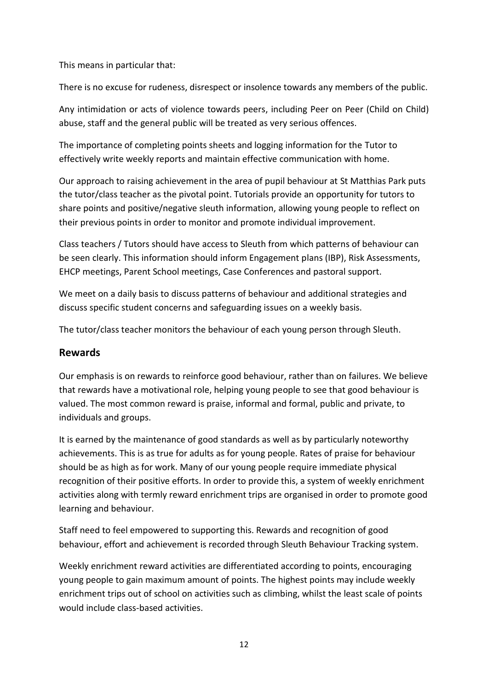This means in particular that:

There is no excuse for rudeness, disrespect or insolence towards any members of the public.

Any intimidation or acts of violence towards peers, including Peer on Peer (Child on Child) abuse, staff and the general public will be treated as very serious offences.

The importance of completing points sheets and logging information for the Tutor to effectively write weekly reports and maintain effective communication with home.

Our approach to raising achievement in the area of pupil behaviour at St Matthias Park puts the tutor/class teacher as the pivotal point. Tutorials provide an opportunity for tutors to share points and positive/negative sleuth information, allowing young people to reflect on their previous points in order to monitor and promote individual improvement.

Class teachers / Tutors should have access to Sleuth from which patterns of behaviour can be seen clearly. This information should inform Engagement plans (IBP), Risk Assessments, EHCP meetings, Parent School meetings, Case Conferences and pastoral support.

We meet on a daily basis to discuss patterns of behaviour and additional strategies and discuss specific student concerns and safeguarding issues on a weekly basis.

The tutor/class teacher monitors the behaviour of each young person through Sleuth.

## **Rewards**

Our emphasis is on rewards to reinforce good behaviour, rather than on failures. We believe that rewards have a motivational role, helping young people to see that good behaviour is valued. The most common reward is praise, informal and formal, public and private, to individuals and groups.

It is earned by the maintenance of good standards as well as by particularly noteworthy achievements. This is as true for adults as for young people. Rates of praise for behaviour should be as high as for work. Many of our young people require immediate physical recognition of their positive efforts. In order to provide this, a system of weekly enrichment activities along with termly reward enrichment trips are organised in order to promote good learning and behaviour.

Staff need to feel empowered to supporting this. Rewards and recognition of good behaviour, effort and achievement is recorded through Sleuth Behaviour Tracking system.

Weekly enrichment reward activities are differentiated according to points, encouraging young people to gain maximum amount of points. The highest points may include weekly enrichment trips out of school on activities such as climbing, whilst the least scale of points would include class-based activities.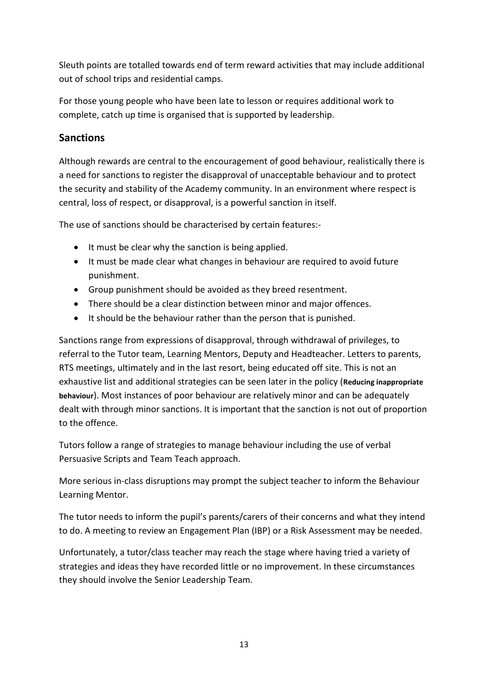Sleuth points are totalled towards end of term reward activities that may include additional out of school trips and residential camps.

For those young people who have been late to lesson or requires additional work to complete, catch up time is organised that is supported by leadership.

# **Sanctions**

Although rewards are central to the encouragement of good behaviour, realistically there is a need for sanctions to register the disapproval of unacceptable behaviour and to protect the security and stability of the Academy community. In an environment where respect is central, loss of respect, or disapproval, is a powerful sanction in itself.

The use of sanctions should be characterised by certain features:-

- It must be clear why the sanction is being applied.
- It must be made clear what changes in behaviour are required to avoid future punishment.
- Group punishment should be avoided as they breed resentment.
- There should be a clear distinction between minor and major offences.
- It should be the behaviour rather than the person that is punished.

Sanctions range from expressions of disapproval, through withdrawal of privileges, to referral to the Tutor team, Learning Mentors, Deputy and Headteacher. Letters to parents, RTS meetings, ultimately and in the last resort, being educated off site. This is not an exhaustive list and additional strategies can be seen later in the policy (**Reducing inappropriate behaviour**). Most instances of poor behaviour are relatively minor and can be adequately dealt with through minor sanctions. It is important that the sanction is not out of proportion to the offence.

Tutors follow a range of strategies to manage behaviour including the use of verbal Persuasive Scripts and Team Teach approach.

More serious in-class disruptions may prompt the subject teacher to inform the Behaviour Learning Mentor.

The tutor needs to inform the pupil's parents/carers of their concerns and what they intend to do. A meeting to review an Engagement Plan (IBP) or a Risk Assessment may be needed.

Unfortunately, a tutor/class teacher may reach the stage where having tried a variety of strategies and ideas they have recorded little or no improvement. In these circumstances they should involve the Senior Leadership Team.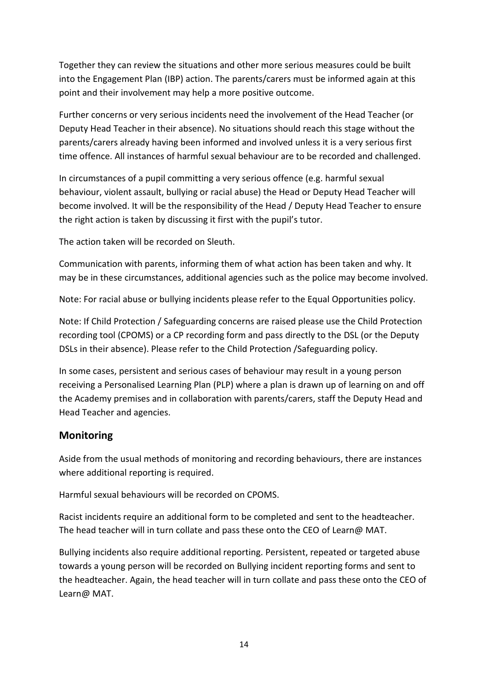Together they can review the situations and other more serious measures could be built into the Engagement Plan (IBP) action. The parents/carers must be informed again at this point and their involvement may help a more positive outcome.

Further concerns or very serious incidents need the involvement of the Head Teacher (or Deputy Head Teacher in their absence). No situations should reach this stage without the parents/carers already having been informed and involved unless it is a very serious first time offence. All instances of harmful sexual behaviour are to be recorded and challenged.

In circumstances of a pupil committing a very serious offence (e.g. harmful sexual behaviour, violent assault, bullying or racial abuse) the Head or Deputy Head Teacher will become involved. It will be the responsibility of the Head / Deputy Head Teacher to ensure the right action is taken by discussing it first with the pupil's tutor.

The action taken will be recorded on Sleuth.

Communication with parents, informing them of what action has been taken and why. It may be in these circumstances, additional agencies such as the police may become involved.

Note: For racial abuse or bullying incidents please refer to the Equal Opportunities policy.

Note: If Child Protection / Safeguarding concerns are raised please use the Child Protection recording tool (CPOMS) or a CP recording form and pass directly to the DSL (or the Deputy DSLs in their absence). Please refer to the Child Protection /Safeguarding policy.

In some cases, persistent and serious cases of behaviour may result in a young person receiving a Personalised Learning Plan (PLP) where a plan is drawn up of learning on and off the Academy premises and in collaboration with parents/carers, staff the Deputy Head and Head Teacher and agencies.

## **Monitoring**

Aside from the usual methods of monitoring and recording behaviours, there are instances where additional reporting is required.

Harmful sexual behaviours will be recorded on CPOMS.

Racist incidents require an additional form to be completed and sent to the headteacher. The head teacher will in turn collate and pass these onto the CEO of Learn@ MAT.

Bullying incidents also require additional reporting. Persistent, repeated or targeted abuse towards a young person will be recorded on Bullying incident reporting forms and sent to the headteacher. Again, the head teacher will in turn collate and pass these onto the CEO of Learn@ MAT.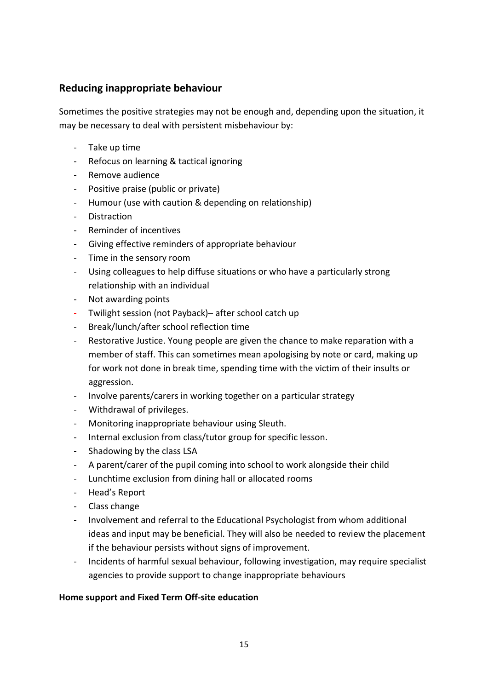## **Reducing inappropriate behaviour**

Sometimes the positive strategies may not be enough and, depending upon the situation, it may be necessary to deal with persistent misbehaviour by:

- Take up time
- Refocus on learning & tactical ignoring
- Remove audience
- Positive praise (public or private)
- Humour (use with caution & depending on relationship)
- **Distraction**
- Reminder of incentives
- Giving effective reminders of appropriate behaviour
- Time in the sensory room
- Using colleagues to help diffuse situations or who have a particularly strong relationship with an individual
- Not awarding points
- Twilight session (not Payback)– after school catch up
- Break/lunch/after school reflection time
- Restorative Justice. Young people are given the chance to make reparation with a member of staff. This can sometimes mean apologising by note or card, making up for work not done in break time, spending time with the victim of their insults or aggression.
- Involve parents/carers in working together on a particular strategy
- Withdrawal of privileges.
- Monitoring inappropriate behaviour using Sleuth.
- Internal exclusion from class/tutor group for specific lesson.
- Shadowing by the class LSA
- A parent/carer of the pupil coming into school to work alongside their child
- Lunchtime exclusion from dining hall or allocated rooms
- Head's Report
- Class change
- Involvement and referral to the Educational Psychologist from whom additional ideas and input may be beneficial. They will also be needed to review the placement if the behaviour persists without signs of improvement.
- Incidents of harmful sexual behaviour, following investigation, may require specialist agencies to provide support to change inappropriate behaviours

#### **Home support and Fixed Term Off-site education**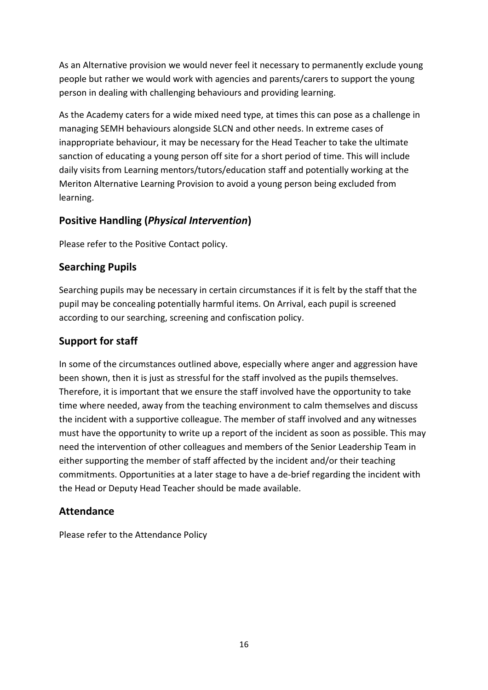As an Alternative provision we would never feel it necessary to permanently exclude young people but rather we would work with agencies and parents/carers to support the young person in dealing with challenging behaviours and providing learning.

As the Academy caters for a wide mixed need type, at times this can pose as a challenge in managing SEMH behaviours alongside SLCN and other needs. In extreme cases of inappropriate behaviour, it may be necessary for the Head Teacher to take the ultimate sanction of educating a young person off site for a short period of time. This will include daily visits from Learning mentors/tutors/education staff and potentially working at the Meriton Alternative Learning Provision to avoid a young person being excluded from learning.

## **Positive Handling (***Physical Intervention***)**

Please refer to the Positive Contact policy.

# **Searching Pupils**

Searching pupils may be necessary in certain circumstances if it is felt by the staff that the pupil may be concealing potentially harmful items. On Arrival, each pupil is screened according to our searching, screening and confiscation policy.

# **Support for staff**

In some of the circumstances outlined above, especially where anger and aggression have been shown, then it is just as stressful for the staff involved as the pupils themselves. Therefore, it is important that we ensure the staff involved have the opportunity to take time where needed, away from the teaching environment to calm themselves and discuss the incident with a supportive colleague. The member of staff involved and any witnesses must have the opportunity to write up a report of the incident as soon as possible. This may need the intervention of other colleagues and members of the Senior Leadership Team in either supporting the member of staff affected by the incident and/or their teaching commitments. Opportunities at a later stage to have a de-brief regarding the incident with the Head or Deputy Head Teacher should be made available.

## **Attendance**

Please refer to the Attendance Policy